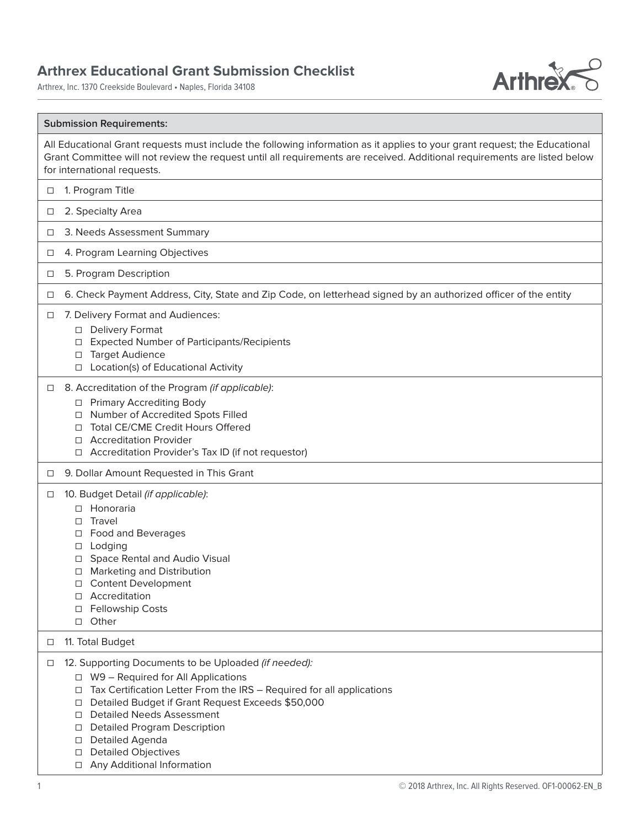## **Arthrex Educational Grant Submission Checklist**

Arthrex, Inc. 1370 Creekside Boulevard • Naples, Florida 34108



## **Submission Requirements:**

All Educational Grant requests must include the following information as it applies to your grant request; the Educational Grant Committee will not review the request until all requirements are received. Additional requirements are listed below for international requests.

- □ 1. Program Title
- □ 2. Specialty Area
- ☐ 3. Needs Assessment Summary
- ☐ 4. Program Learning Objectives
- ☐ 5. Program Description
- ☐ 6. Check Payment Address, City, State and Zip Code, on letterhead signed by an authorized officer of the entity
- ☐ 7. Delivery Format and Audiences:
	- ☐ Delivery Format
	- ☐ Expected Number of Participants/Recipients
	- □ Target Audience
	- ☐ Location(s) of Educational Activity
- ☐ 8. Accreditation of the Program (if applicable):
	- ☐ Primary Accrediting Body
	- ☐ Number of Accredited Spots Filled
	- ☐ Total CE/CME Credit Hours Offered
	- ☐ Accreditation Provider
	- ☐ Accreditation Provider's Tax ID (if not requestor)
- □ 9. Dollar Amount Requested in This Grant
- □ 10. Budget Detail (if applicable):
	- ☐ Honoraria
	- ☐ Travel
	- ☐ Food and Beverages
	- ☐ Lodging
	- ☐ Space Rental and Audio Visual
	- ☐ Marketing and Distribution
	- ☐ Content Development
	- ☐ Accreditation
	- ☐ Fellowship Costs
	- ☐ Other

## ☐ 11. Total Budget

- □ 12. Supporting Documents to be Uploaded (if needed):
	- ☐ W9 Required for All Applications
	- ☐ Tax Certification Letter From the IRS Required for all applications
	- ☐ Detailed Budget if Grant Request Exceeds \$50,000
	- ☐ Detailed Needs Assessment
	- ☐ Detailed Program Description
	- ☐ Detailed Agenda
	- ☐ Detailed Objectives
	- □ Any Additional Information